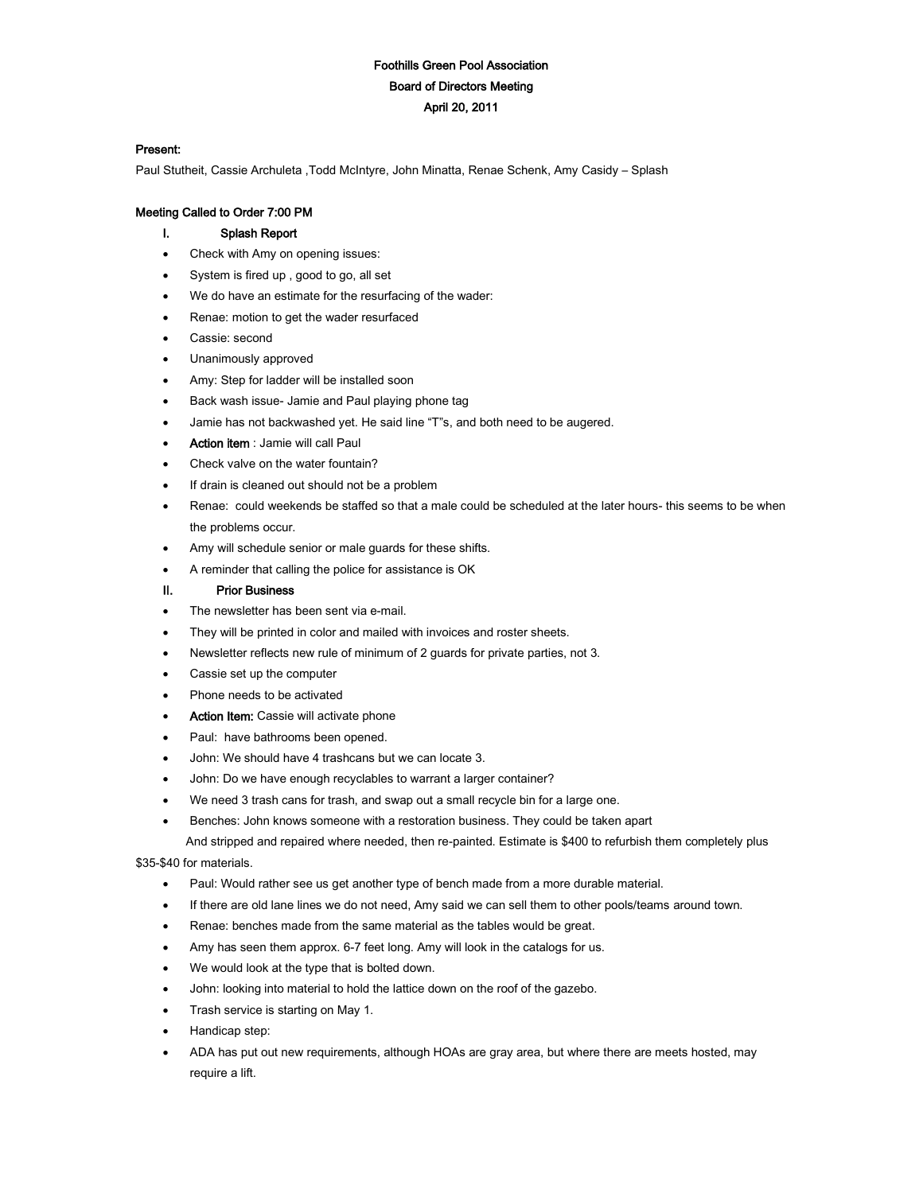# Foothills Green Pool Association Board of Directors Meeting April 20, 2011

## Present:

Paul Stutheit, Cassie Archuleta ,Todd McIntyre, John Minatta, Renae Schenk, Amy Casidy – Splash

## Meeting Called to Order 7:00 PM

# I. Splash Report

- Check with Amy on opening issues:
- System is fired up , good to go, all set
- We do have an estimate for the resurfacing of the wader:
- Renae: motion to get the wader resurfaced
- Cassie: second
- Unanimously approved
- Amy: Step for ladder will be installed soon
- Back wash issue- Jamie and Paul playing phone tag
- Jamie has not backwashed yet. He said line "T"s, and both need to be augered.
- Action item : Jamie will call Paul
- Check valve on the water fountain?
- If drain is cleaned out should not be a problem
- Renae: could weekends be staffed so that a male could be scheduled at the later hours- this seems to be when the problems occur.
- Amy will schedule senior or male guards for these shifts.
- A reminder that calling the police for assistance is OK

#### II. Prior Business

- The newsletter has been sent via e-mail.
- They will be printed in color and mailed with invoices and roster sheets.
- Newsletter reflects new rule of minimum of 2 guards for private parties, not 3.
- Cassie set up the computer
- Phone needs to be activated
- Action Item: Cassie will activate phone
- Paul: have bathrooms been opened.
- John: We should have 4 trashcans but we can locate 3.
- John: Do we have enough recyclables to warrant a larger container?
- We need 3 trash cans for trash, and swap out a small recycle bin for a large one.
- Benches: John knows someone with a restoration business. They could be taken apart

And stripped and repaired where needed, then re-painted. Estimate is \$400 to refurbish them completely plus

\$35-\$40 for materials.

- Paul: Would rather see us get another type of bench made from a more durable material.
- If there are old lane lines we do not need, Amy said we can sell them to other pools/teams around town.
- Renae: benches made from the same material as the tables would be great.
- Amy has seen them approx. 6-7 feet long. Amy will look in the catalogs for us.
- We would look at the type that is bolted down.
- John: looking into material to hold the lattice down on the roof of the gazebo.
- Trash service is starting on May 1.
- Handicap step:
- ADA has put out new requirements, although HOAs are gray area, but where there are meets hosted, may require a lift.